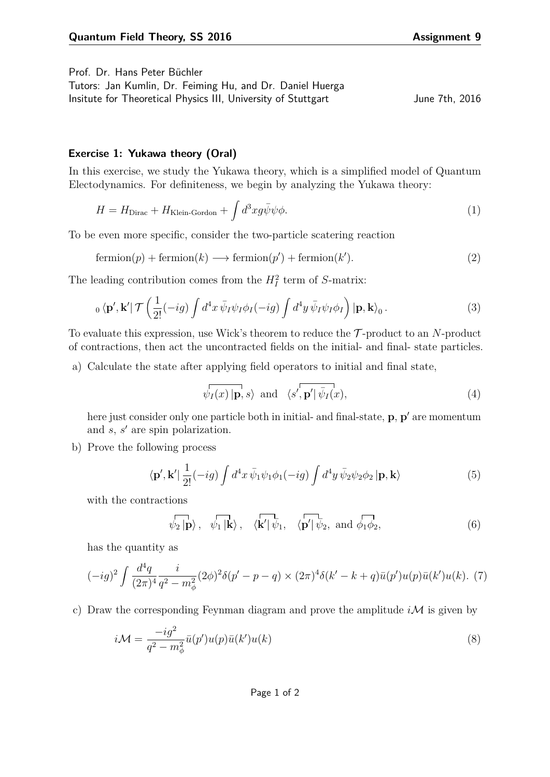Prof. Dr. Hans Peter Büchler

| Tutors: Jan Kumlin, Dr. Feiming Hu, and Dr. Daniel Huerga     |                |  |
|---------------------------------------------------------------|----------------|--|
| Insitute for Theoretical Physics III, University of Stuttgart | June 7th, 2016 |  |

## **Exercise 1: Yukawa theory (Oral)**

In this exercise, we study the Yukawa theory, which is a simplified model of Quantum Electodynamics. For definiteness, we begin by analyzing the Yukawa theory:

$$
H = H_{\text{Dirac}} + H_{\text{Klein-Gordon}} + \int d^3x g \bar{\psi} \psi \phi.
$$
 (1)

To be even more specific, consider the two-particle scatering reaction

$$
fermion(p) + fermion(k) \longrightarrow fermion(p') + fermion(k').
$$
\n(2)

The leading contribution comes from the  $H_I^2$  term of *S*-matrix:

$$
{}_{0}\langle \mathbf{p}',\mathbf{k}'|\mathcal{T}\left(\frac{1}{2!}(-ig)\int d^{4}x\,\bar{\psi}_{I}\psi_{I}\phi_{I}(-ig)\int d^{4}y\,\bar{\psi}_{I}\psi_{I}\phi_{I}\right)|\mathbf{p},\mathbf{k}\rangle_{0}.
$$
\n(3)

To evaluate this expression, use Wick's theorem to reduce the T -product to an *N*-product of contractions, then act the uncontracted fields on the initial- and final- state particles.

a) Calculate the state after applying field operators to initial and final state,

$$
\overline{\psi_I(x) | \mathbf{p}}, s \rangle
$$
 and  $\langle s', \mathbf{p}' | \overline{\psi_I}(x), \rangle$  (4)

here just consider only one particle both in initial- and final-state, **p**, **p**' are momentum and *s*, *s'* are spin polarization.

b) Prove the following process

$$
\langle \mathbf{p}', \mathbf{k}' | \frac{1}{2!} (-ig) \int d^4x \, \bar{\psi}_1 \psi_1 \phi_1(-ig) \int d^4y \, \bar{\psi}_2 \psi_2 \phi_2 \, |\mathbf{p}, \mathbf{k} \rangle \tag{5}
$$

with the contractions

$$
\langle \psi_2 | \mathbf{p} \rangle
$$
,  $\langle \mathbf{p} | \mathbf{k} \rangle$ ,  $\langle \mathbf{k}' | \psi_1, \langle \mathbf{p}' | \psi_2, \text{ and } \phi_1 \phi_2, \rangle$  (6)

has the quantity as

$$
(-ig)^{2} \int \frac{d^{4}q}{(2\pi)^{4}} \frac{i}{q^{2} - m_{\phi}^{2}} (2\phi)^{2} \delta(p' - p - q) \times (2\pi)^{4} \delta(k' - k + q) \bar{u}(p') u(p) \bar{u}(k') u(k). \tag{7}
$$

c) Draw the corresponding Feynman diagram and prove the amplitude  $i\mathcal{M}$  is given by

$$
i\mathcal{M} = \frac{-ig^2}{q^2 - m_\phi^2} \bar{u}(p')u(p)\bar{u}(k')u(k)
$$
\n(8)

Page 1 of 2